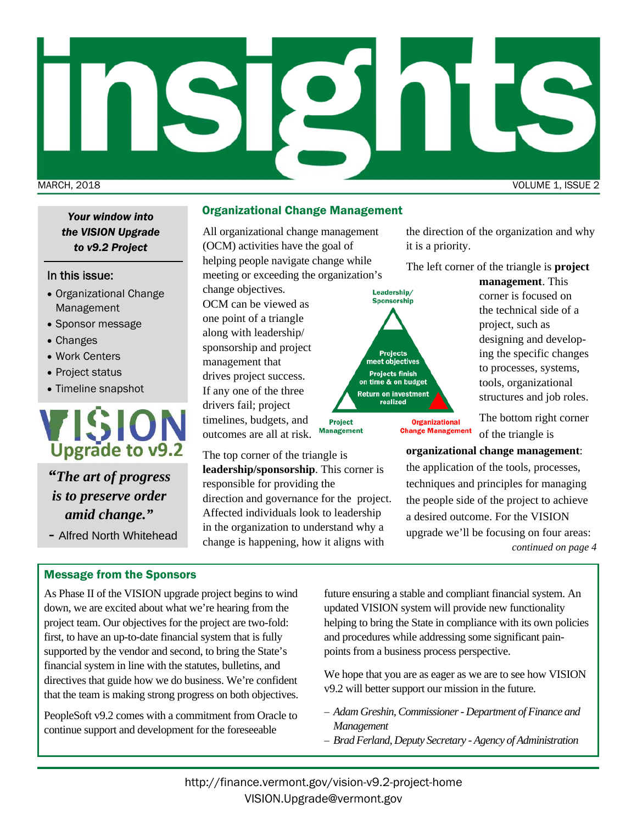# MARCH, 2018 VOLUME 1, ISSUE 2

*the VISION Upgrade to v9.2 Project* 

### In this issue:

- Organizational Change Management
- Sponsor message
- Changes
- Work Centers
- Project status
- Timeline snapshot



*"The art of progress is to preserve order amid change."* 

*-* Alfred North Whitehead

# Message from the Sponsors

As Phase II of the VISION upgrade project begins to wind down, we are excited about what we're hearing from the project team. Our objectives for the project are two-fold: first, to have an up-to-date financial system that is fully supported by the vendor and second, to bring the State's financial system in line with the statutes, bulletins, and directives that guide how we do business. We're confident that the team is making strong progress on both objectives.

PeopleSoft v9.2 comes with a commitment from Oracle to continue support and development for the foreseeable

# Organizational Change Management *Your window into*

All organizational change management (OCM) activities have the goal of helping people navigate change while meeting or exceeding the organization's

change objectives. OCM can be viewed as one point of a triangle along with leadership/ sponsorship and project management that drives project success. If any one of the three

drivers fail; project timelines, budgets, and **Project Management** outcomes are all at risk.

The top corner of the triangle is **leadership/sponsorship**. This corner is responsible for providing the direction and governance for the project. Affected individuals look to leadership in the organization to understand why a change is happening, how it aligns with

the direction of the organization and why it is a priority.

The left corner of the triangle is **project** 

Leadership/ **Sponsorship** Projects<br>meet objectives **Projects finish** on time & on budget Return on investment realized

> **Organizational Change Management**

**management**. This corner is focused on the technical side of a project, such as designing and developing the specific changes to processes, systems, tools, organizational structures and job roles.

The bottom right corner of the triangle is

**organizational change management**:

the application of the tools, processes, techniques and principles for managing the people side of the project to achieve a desired outcome. For the VISION upgrade we'll be focusing on four areas: *continued on page 4* 

future ensuring a stable and compliant financial system. An updated VISION system will provide new functionality helping to bring the State in compliance with its own policies and procedures while addressing some significant painpoints from a business process perspective.

We hope that you are as eager as we are to see how VISION v9.2 will better support our mission in the future.

- *Adam Greshin, Commissioner Department of Finance and Management*
- *Brad Ferland, Deputy Secretary Agency of Administration*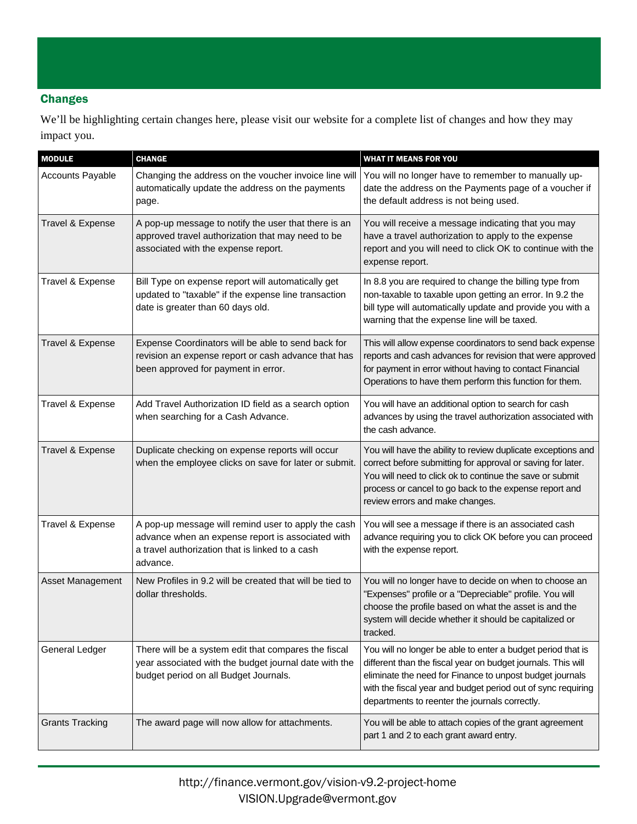# **Changes**

We'll be highlighting certain changes here, please visit our website for a complete list of changes and how they may impact you.

| <b>MODULE</b>           | <b>CHANGE</b>                                                                                                                                                           | <b>WHAT IT MEANS FOR YOU</b>                                                                                                                                                                                                                                                                              |
|-------------------------|-------------------------------------------------------------------------------------------------------------------------------------------------------------------------|-----------------------------------------------------------------------------------------------------------------------------------------------------------------------------------------------------------------------------------------------------------------------------------------------------------|
| <b>Accounts Payable</b> | Changing the address on the voucher invoice line will<br>automatically update the address on the payments<br>page.                                                      | You will no longer have to remember to manually up-<br>date the address on the Payments page of a voucher if<br>the default address is not being used.                                                                                                                                                    |
| Travel & Expense        | A pop-up message to notify the user that there is an<br>approved travel authorization that may need to be<br>associated with the expense report.                        | You will receive a message indicating that you may<br>have a travel authorization to apply to the expense<br>report and you will need to click OK to continue with the<br>expense report.                                                                                                                 |
| Travel & Expense        | Bill Type on expense report will automatically get<br>updated to "taxable" if the expense line transaction<br>date is greater than 60 days old.                         | In 8.8 you are required to change the billing type from<br>non-taxable to taxable upon getting an error. In 9.2 the<br>bill type will automatically update and provide you with a<br>warning that the expense line will be taxed.                                                                         |
| Travel & Expense        | Expense Coordinators will be able to send back for<br>revision an expense report or cash advance that has<br>been approved for payment in error.                        | This will allow expense coordinators to send back expense<br>reports and cash advances for revision that were approved<br>for payment in error without having to contact Financial<br>Operations to have them perform this function for them.                                                             |
| Travel & Expense        | Add Travel Authorization ID field as a search option<br>when searching for a Cash Advance.                                                                              | You will have an additional option to search for cash<br>advances by using the travel authorization associated with<br>the cash advance.                                                                                                                                                                  |
| Travel & Expense        | Duplicate checking on expense reports will occur<br>when the employee clicks on save for later or submit.                                                               | You will have the ability to review duplicate exceptions and<br>correct before submitting for approval or saving for later.<br>You will need to click ok to continue the save or submit<br>process or cancel to go back to the expense report and<br>review errors and make changes.                      |
| Travel & Expense        | A pop-up message will remind user to apply the cash<br>advance when an expense report is associated with<br>a travel authorization that is linked to a cash<br>advance. | You will see a message if there is an associated cash<br>advance requiring you to click OK before you can proceed<br>with the expense report.                                                                                                                                                             |
| Asset Management        | New Profiles in 9.2 will be created that will be tied to<br>dollar thresholds.                                                                                          | You will no longer have to decide on when to choose an<br>"Expenses" profile or a "Depreciable" profile. You will<br>choose the profile based on what the asset is and the<br>system will decide whether it should be capitalized or<br>tracked.                                                          |
| <b>General Ledger</b>   | There will be a system edit that compares the fiscal<br>year associated with the budget journal date with the<br>budget period on all Budget Journals.                  | You will no longer be able to enter a budget period that is<br>different than the fiscal year on budget journals. This will<br>eliminate the need for Finance to unpost budget journals<br>with the fiscal year and budget period out of sync requiring<br>departments to reenter the journals correctly. |
| <b>Grants Tracking</b>  | The award page will now allow for attachments.                                                                                                                          | You will be able to attach copies of the grant agreement<br>part 1 and 2 to each grant award entry.                                                                                                                                                                                                       |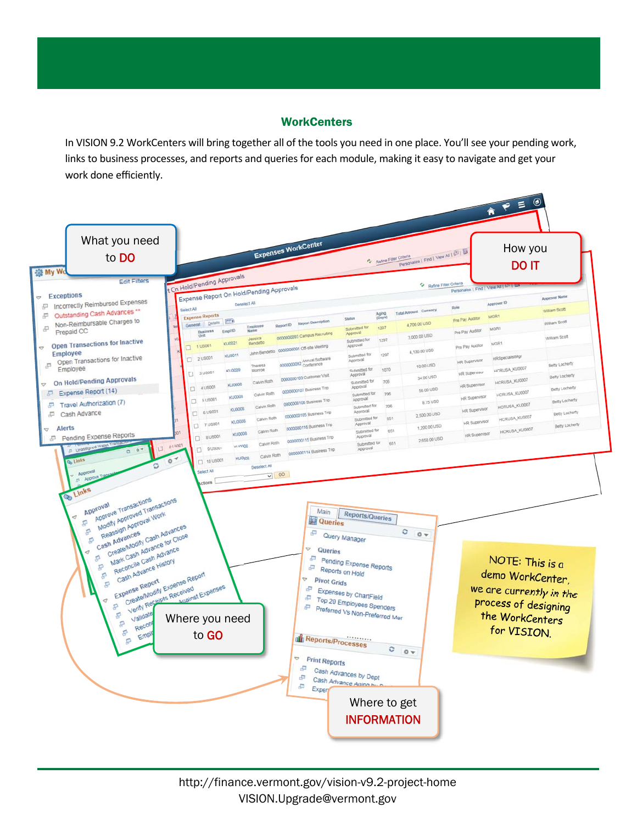# **WorkCenters**

In VISION 9.2 WorkCenters will bring together all of the tools you need in one place. You'll see your pending work, links to business processes, and reports and queries for each module, making it easy to navigate and get your work done efficiently.